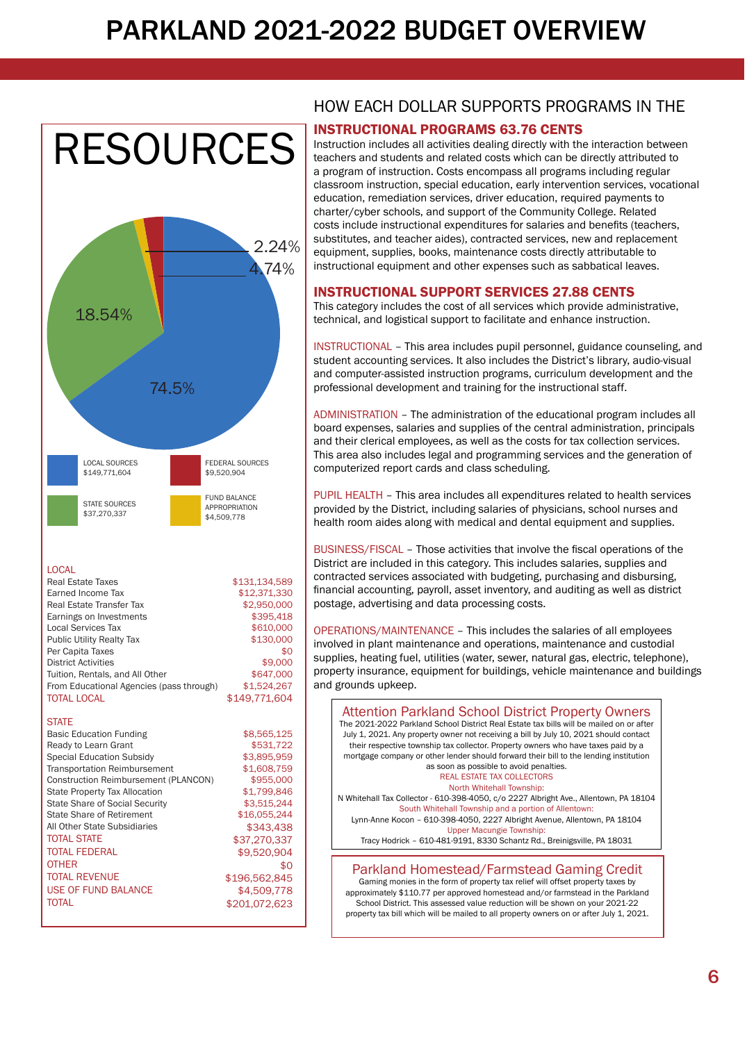## PARKLAND 2021-2022 BUDGET OVERVIEW



LOCAL

| Real Estate Taxes                        | \$131,134,589 |
|------------------------------------------|---------------|
| Earned Income Tax                        | \$12,371,330  |
| Real Estate Transfer Tax                 | \$2,950,000   |
| Earnings on Investments                  | \$395,418     |
| Local Services Tax                       | \$610,000     |
| <b>Public Utility Realty Tax</b>         | \$130,000     |
| Per Capita Taxes                         | \$0           |
| <b>District Activities</b>               | \$9,000       |
| Tuition, Rentals, and All Other          | \$647,000     |
| From Educational Agencies (pass through) | \$1,524,267   |
| <b>TOTAL LOCAL</b>                       | \$149,771,604 |

**STATE** 

| <b>Basic Education Funding</b>        | \$8,565,125   |
|---------------------------------------|---------------|
| Ready to Learn Grant                  | \$531,722     |
| <b>Special Education Subsidy</b>      | \$3,895,959   |
| <b>Transportation Reimbursement</b>   | \$1,608,759   |
| Construction Reimbursement (PLANCON)  | \$955,000     |
| <b>State Property Tax Allocation</b>  | \$1,799,846   |
| <b>State Share of Social Security</b> | \$3.515.244   |
| State Share of Retirement             | \$16,055,244  |
| All Other State Subsidiaries          | \$343,438     |
| <b>TOTAL STATE</b>                    | \$37,270,337  |
| <b>TOTAL FEDERAL</b>                  | \$9,520,904   |
| <b>OTHER</b>                          | \$0           |
| <b>TOTAL REVENUE</b>                  | \$196,562,845 |
| <b>USE OF FUND BALANCE</b>            | \$4,509,778   |
| <b>TOTAL</b>                          | \$201,072,623 |
|                                       |               |

# HOW EACH DOLLAR SUPPORTS PROGRAMS IN THE

#### INSTRUCTIONAL PROGRAMS 63.76 CENTS

Instruction includes all activities dealing directly with the interaction between teachers and students and related costs which can be directly attributed to a program of instruction. Costs encompass all programs including regular classroom instruction, special education, early intervention services, vocational education, remediation services, driver education, required payments to charter/cyber schools, and support of the Community College. Related costs include instructional expenditures for salaries and benefits (teachers, substitutes, and teacher aides), contracted services, new and replacement equipment, supplies, books, maintenance costs directly attributable to instructional equipment and other expenses such as sabbatical leaves.

#### INSTRUCTIONAL SUPPORT SERVICES 27.88 CENTS

This category includes the cost of all services which provide administrative, technical, and logistical support to facilitate and enhance instruction.

INSTRUCTIONAL – This area includes pupil personnel, guidance counseling, and student accounting services. It also includes the District's library, audio-visual and computer-assisted instruction programs, curriculum development and the professional development and training for the instructional staff.

ADMINISTRATION – The administration of the educational program includes all board expenses, salaries and supplies of the central administration, principals and their clerical employees, as well as the costs for tax collection services. This area also includes legal and programming services and the generation of computerized report cards and class scheduling.

PUPIL HEALTH – This area includes all expenditures related to health services provided by the District, including salaries of physicians, school nurses and health room aides along with medical and dental equipment and supplies.

BUSINESS/FISCAL – Those activities that involve the fiscal operations of the District are included in this category. This includes salaries, supplies and contracted services associated with budgeting, purchasing and disbursing, financial accounting, payroll, asset inventory, and auditing as well as district postage, advertising and data processing costs.

OPERATIONS/MAINTENANCE – This includes the salaries of all employees involved in plant maintenance and operations, maintenance and custodial supplies, heating fuel, utilities (water, sewer, natural gas, electric, telephone), property insurance, equipment for buildings, vehicle maintenance and buildings and grounds upkeep.



approximately \$110.77 per approved homestead and/or farmstead in the Parkland School District. This assessed value reduction will be shown on your 2021-22 property tax bill which will be mailed to all property owners on or after July 1, 2021.